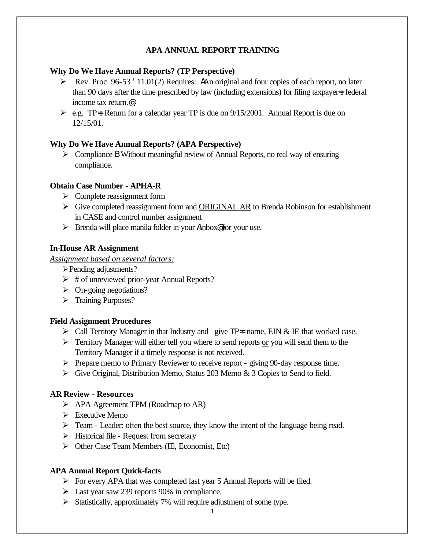### **APA ANNUAL REPORT TRAINING**

### **Why Do We Have Annual Reports? (TP Perspective)**

- $\triangleright$  Rev. Proc. 96-53 '11.01(2) Requires: AAn original and four copies of each report, no later than 90 days after the time prescribed by law (including extensions) for filing taxpayer=s federal income tax return.@
- $\ge$  e.g. TP=s Return for a calendar year TP is due on 9/15/2001. Annual Report is due on 12/15/01.

### **Why Do We Have Annual Reports? (APA Perspective)**

ÿ Compliance B Without meaningful review of Annual Reports, no real way of ensuring compliance.

### **Obtain Case Number - APHA-R**

- $\triangleright$  Complete reassignment form
- $\triangleright$  Give completed reassignment form and ORIGINAL AR to Brenda Robinson for establishment in CASE and control number assignment
- $\triangleright$  Brenda will place manila folder in your Ainbox® for your use.

# **In-House AR Assignment**

### *Assignment based on several factors:*

- ÿPending adjustments?
- $\triangleright$  # of unreviewed prior-year Annual Reports?
- $\triangleright$  On-going negotiations?
- > Training Purposes?

### **Field Assignment Procedures**

- $\triangleright$  Call Territory Manager in that Industry and give TP=s name, EIN & IE that worked case.
- $\triangleright$  Territory Manager will either tell you where to send reports or you will send them to the Territory Manager if a timely response is not received.
- ÿ Prepare memo to Primary Reviewer to receive report giving 90-day response time.
- $\triangleright$  Give Original, Distribution Memo, Status 203 Memo & 3 Copies to Send to field.

# **AR Review - Resources**

- $\triangleright$  APA Agreement TPM (Roadmap to AR)
- $\triangleright$  Executive Memo
- $\triangleright$  Team Leader: often the best source, they know the intent of the language being read.
- $\triangleright$  Historical file Request from secretary
- $\triangleright$  Other Case Team Members (IE, Economist, Etc)

# **APA Annual Report Quick-facts**

- $\triangleright$  For every APA that was completed last year 5 Annual Reports will be filed.
- $\blacktriangleright$  Last year saw 239 reports 90% in compliance.
- $\triangleright$  Statistically, approximately 7% will require adjustment of some type.